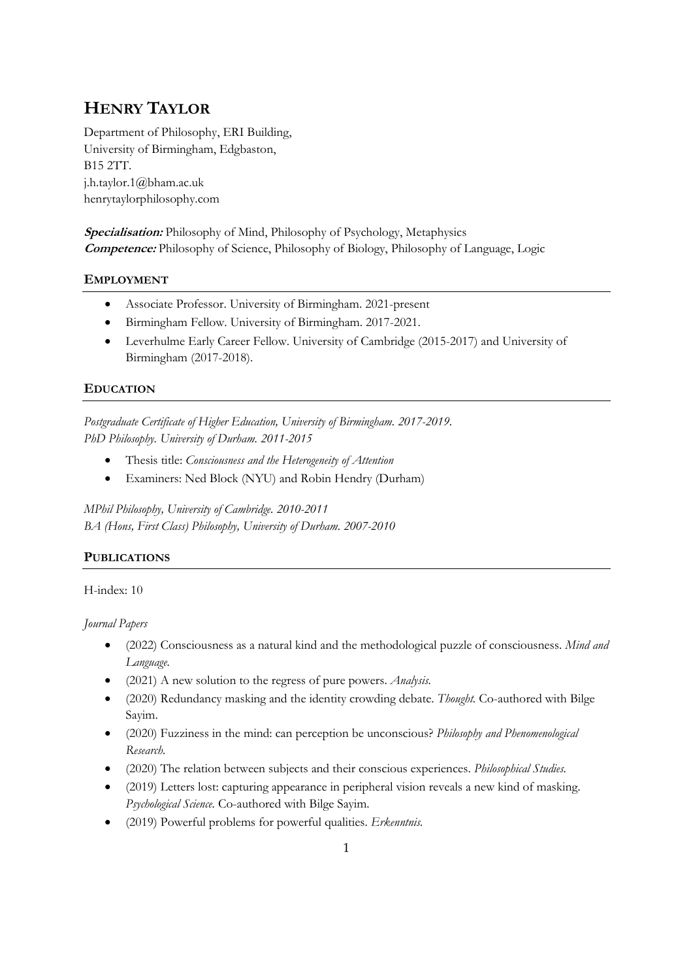# **HENRY TAYLOR**

Department of Philosophy, ERI Building, University of Birmingham, Edgbaston, B15 2TT. j.h.taylor.1@bham.ac.uk henrytaylorphilosophy.com

**Specialisation:** Philosophy of Mind, Philosophy of Psychology, Metaphysics **Competence:** Philosophy of Science, Philosophy of Biology, Philosophy of Language, Logic

## **EMPLOYMENT**

- Associate Professor. University of Birmingham. 2021-present
- Birmingham Fellow. University of Birmingham. 2017-2021.
- Leverhulme Early Career Fellow. University of Cambridge (2015-2017) and University of Birmingham (2017-2018).

## **EDUCATION**

*Postgraduate Certificate of Higher Education, University of Birmingham. 2017-2019. PhD Philosophy. University of Durham. 2011-2015*

- Thesis title: *Consciousness and the Heterogeneity of Attention*
- Examiners: Ned Block (NYU) and Robin Hendry (Durham)

*MPhil Philosophy, University of Cambridge. 2010-2011 BA (Hons, First Class) Philosophy, University of Durham. 2007-2010*

## **PUBLICATIONS**

H-index: 10

*Journal Papers*

- (2022) Consciousness as a natural kind and the methodological puzzle of consciousness. *Mind and Language.*
- (2021) A new solution to the regress of pure powers. *Analysis.*
- (2020) Redundancy masking and the identity crowding debate. *Thought.* Co-authored with Bilge Sayim.
- (2020) Fuzziness in the mind: can perception be unconscious? *Philosophy and Phenomenological Research.*
- (2020) The relation between subjects and their conscious experiences. *Philosophical Studies.*
- (2019) Letters lost: capturing appearance in peripheral vision reveals a new kind of masking. *Psychological Science.* Co-authored with Bilge Sayim.
- (2019) Powerful problems for powerful qualities. *Erkenntnis.*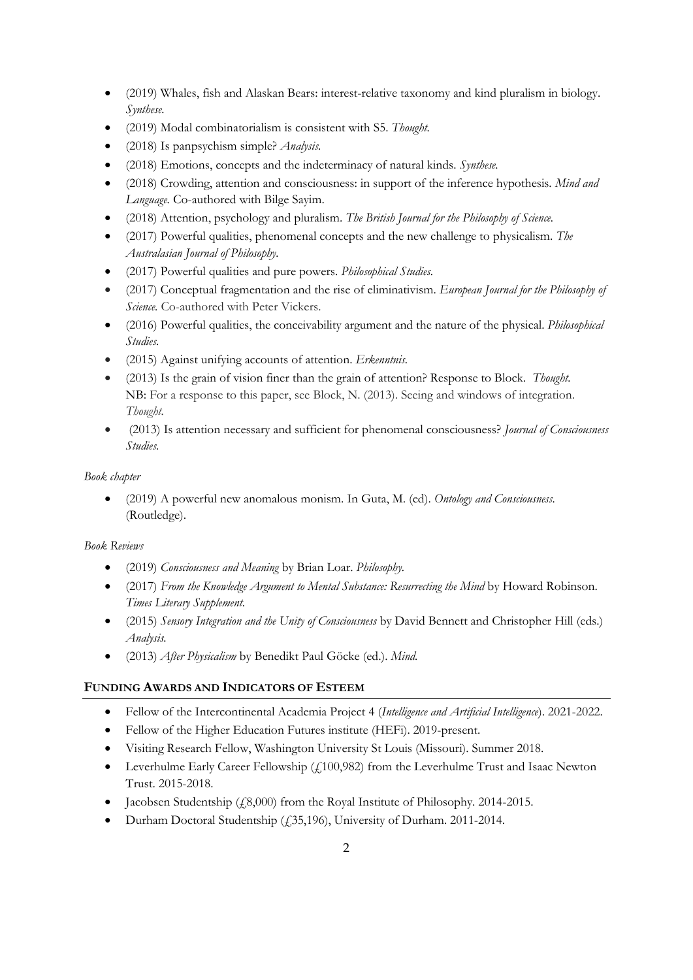- (2019) Whales, fish and Alaskan Bears: interest-relative taxonomy and kind pluralism in biology. *Synthese.*
- (2019) Modal combinatorialism is consistent with S5. *Thought.*
- (2018) Is panpsychism simple? *Analysis.*
- (2018) Emotions, concepts and the indeterminacy of natural kinds. *Synthese.*
- (2018) Crowding, attention and consciousness: in support of the inference hypothesis. *Mind and Language.* Co-authored with Bilge Sayim.
- (2018) Attention, psychology and pluralism. *The British Journal for the Philosophy of Science.*
- (2017) Powerful qualities, phenomenal concepts and the new challenge to physicalism. *The Australasian Journal of Philosophy.*
- (2017) Powerful qualities and pure powers. *Philosophical Studies.*
- (2017) Conceptual fragmentation and the rise of eliminativism. *European Journal for the Philosophy of Science.* Co-authored with Peter Vickers.
- (2016) Powerful qualities, the conceivability argument and the nature of the physical. *Philosophical Studies.*
- (2015) Against unifying accounts of attention. *Erkenntnis.*
- (2013) Is the grain of vision finer than the grain of attention? Response to Block. *Thought.* NB: For a response to this paper, see Block, N. (2013). Seeing and windows of integration. *Thought.*
- (2013) Is attention necessary and sufficient for phenomenal consciousness? *Journal of Consciousness Studies.*

*Book chapter*

• (2019) A powerful new anomalous monism. In Guta, M. (ed). *Ontology and Consciousness.*  (Routledge).

#### *Book Reviews*

- (2019) *Consciousness and Meaning* by Brian Loar. *Philosophy.*
- (2017) *From the Knowledge Argument to Mental Substance: Resurrecting the Mind* by Howard Robinson. *Times Literary Supplement.*
- (2015) *Sensory Integration and the Unity of Consciousness* by David Bennett and Christopher Hill (eds.) *Analysis.*
- (2013) *After Physicalism* by Benedikt Paul Göcke (ed.). *Mind.*

#### **FUNDING AWARDS AND INDICATORS OF ESTEEM**

- Fellow of the Intercontinental Academia Project 4 (*Intelligence and Artificial Intelligence*). 2021-2022.
- Fellow of the Higher Education Futures institute (HEFi). 2019-present.
- Visiting Research Fellow, Washington University St Louis (Missouri). Summer 2018.
- Leverhulme Early Career Fellowship (£100,982) from the Leverhulme Trust and Isaac Newton Trust. 2015-2018.
- Jacobsen Studentship (£8,000) from the Royal Institute of Philosophy. 2014-2015.
- Durham Doctoral Studentship (£35,196), University of Durham. 2011-2014.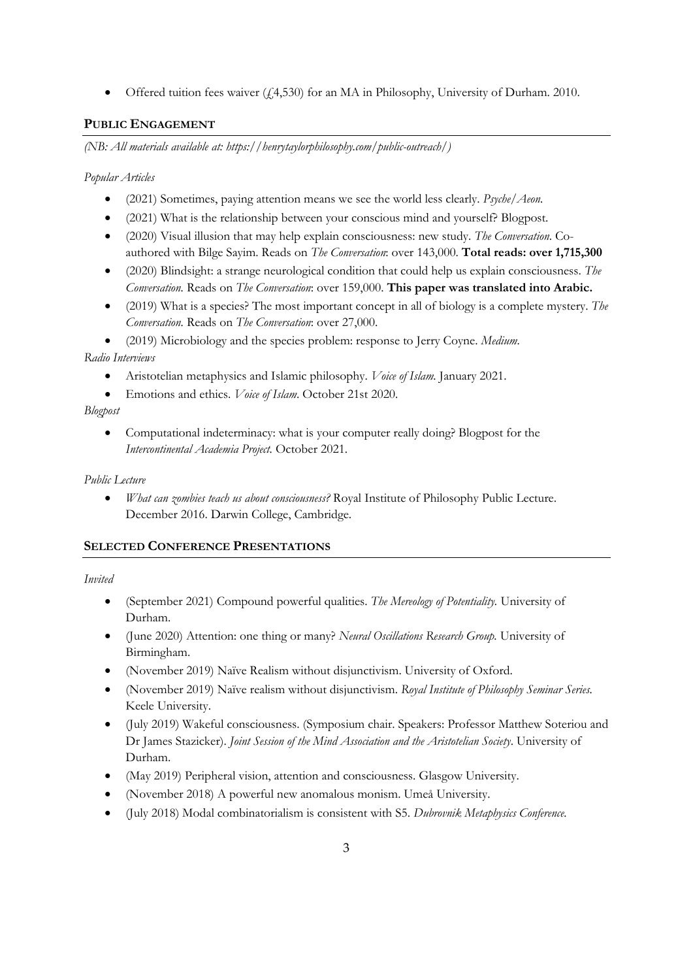• Offered tuition fees waiver (£4,530) for an MA in Philosophy, University of Durham. 2010.

# **PUBLIC ENGAGEMENT**

*(NB: All materials available at: https://henrytaylorphilosophy.com/public-outreach/)*

*Popular Articles*

- (2021) Sometimes, paying attention means we see the world less clearly. *Psyche/Aeon.*
- (2021) What is the relationship between your conscious mind and yourself? Blogpost.
- (2020) Visual illusion that may help explain consciousness: new study. *The Conversation*. Coauthored with Bilge Sayim. Reads on *The Conversation*: over 143,000. **Total reads: over 1,715,300**
- (2020) Blindsight: a strange neurological condition that could help us explain consciousness. *The Conversation.* Reads on *The Conversation*: over 159,000. **This paper was translated into Arabic.**
- (2019) What is a species? The most important concept in all of biology is a complete mystery. *The Conversation.* Reads on *The Conversation*: over 27,000.
- (2019) Microbiology and the species problem: response to Jerry Coyne. *Medium.*

## *Radio Interviews*

- Aristotelian metaphysics and Islamic philosophy. *Voice of Islam.* January 2021.
- Emotions and ethics. *Voice of Islam*. October 21st 2020.

## *Blogpost*

• Computational indeterminacy: what is your computer really doing? Blogpost for the *Intercontinental Academia Project.* October 2021.

#### *Public Lecture*

• *What can zombies teach us about consciousness?* Royal Institute of Philosophy Public Lecture. December 2016. Darwin College, Cambridge.

## **SELECTED CONFERENCE PRESENTATIONS**

## *Invited*

- (September 2021) Compound powerful qualities. *The Mereology of Potentiality.* University of Durham.
- (June 2020) Attention: one thing or many? *Neural Oscillations Research Group.* University of Birmingham.
- (November 2019) Naïve Realism without disjunctivism. University of Oxford.
- (November 2019) Naïve realism without disjunctivism. *Royal Institute of Philosophy Seminar Series.* Keele University.
- (July 2019) Wakeful consciousness. (Symposium chair. Speakers: Professor Matthew Soteriou and Dr James Stazicker). *Joint Session of the Mind Association and the Aristotelian Society*. University of Durham.
- (May 2019) Peripheral vision, attention and consciousness. Glasgow University.
- (November 2018) A powerful new anomalous monism. Umeå University.
- (July 2018) Modal combinatorialism is consistent with S5. *Dubrovnik Metaphysics Conference.*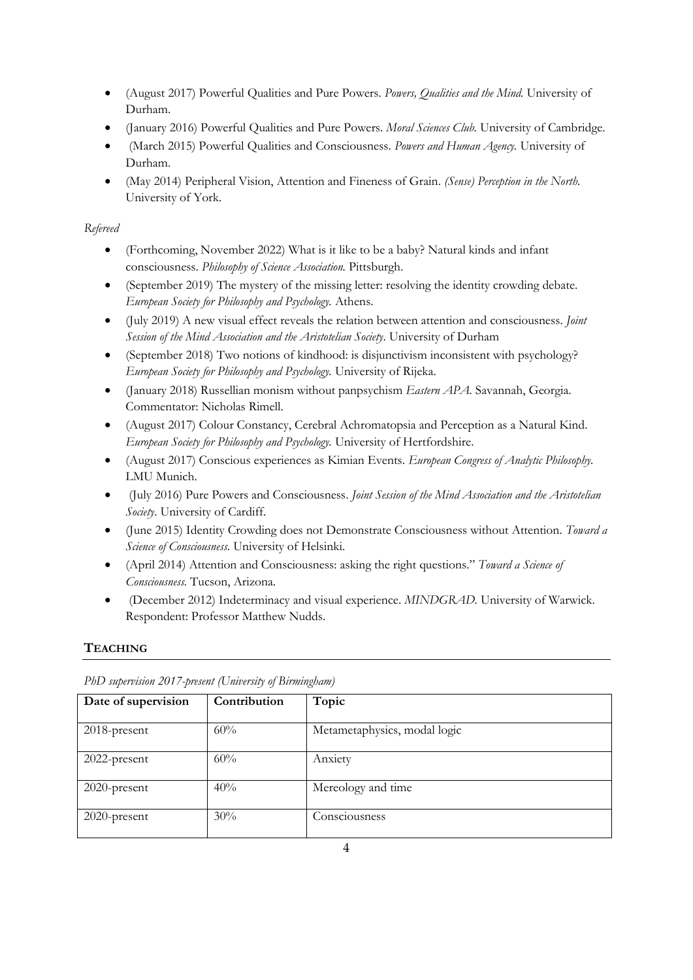- (August 2017) Powerful Qualities and Pure Powers. *Powers, Qualities and the Mind.* University of Durham.
- (January 2016) Powerful Qualities and Pure Powers. *Moral Sciences Club.* University of Cambridge.
- (March 2015) Powerful Qualities and Consciousness. *Powers and Human Agency.* University of Durham.
- (May 2014) Peripheral Vision, Attention and Fineness of Grain. *(Sense) Perception in the North.*  University of York.

# *Refereed*

- (Forthcoming, November 2022) What is it like to be a baby? Natural kinds and infant consciousness. *Philosophy of Science Association.* Pittsburgh.
- (September 2019) The mystery of the missing letter: resolving the identity crowding debate. *European Society for Philosophy and Psychology.* Athens.
- (July 2019) A new visual effect reveals the relation between attention and consciousness. *Joint Session of the Mind Association and the Aristotelian Society*. University of Durham
- (September 2018) Two notions of kindhood: is disjunctivism inconsistent with psychology? *European Society for Philosophy and Psychology.* University of Rijeka.
- (January 2018) Russellian monism without panpsychism *Eastern APA.* Savannah, Georgia. Commentator: Nicholas Rimell.
- (August 2017) Colour Constancy, Cerebral Achromatopsia and Perception as a Natural Kind. *European Society for Philosophy and Psychology.* University of Hertfordshire.
- (August 2017) Conscious experiences as Kimian Events. *European Congress of Analytic Philosophy.*  LMU Munich.
- (July 2016) Pure Powers and Consciousness. *Joint Session of the Mind Association and the Aristotelian Society*. University of Cardiff.
- (June 2015) Identity Crowding does not Demonstrate Consciousness without Attention. *Toward a Science of Consciousness.* University of Helsinki.
- (April 2014) Attention and Consciousness: asking the right questions." *Toward a Science of Consciousness.* Tucson, Arizona.
- (December 2012) Indeterminacy and visual experience. *MINDGRAD.* University of Warwick. Respondent: Professor Matthew Nudds.

# **TEACHING**

| Date of supervision | Contribution | Topic                        |
|---------------------|--------------|------------------------------|
| $2018$ -present     | 60%          | Metametaphysics, modal logic |
| 2022-present        | 60%          | Anxiety                      |
| 2020-present        | 40%          | Mereology and time           |
| $2020$ -present     | 30%          | Consciousness                |

*PhD supervision 2017-present (University of Birmingham)*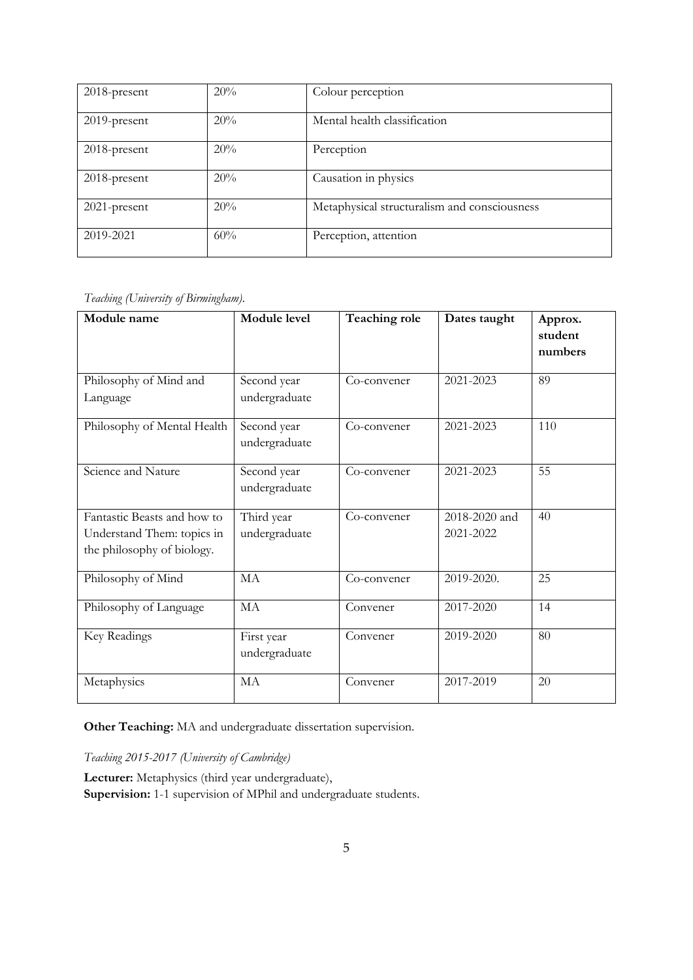| 2018-present    | 20% | Colour perception                            |
|-----------------|-----|----------------------------------------------|
| $2019$ -present | 20% | Mental health classification                 |
| 2018-present    | 20% | Perception                                   |
| 2018-present    | 20% | Causation in physics                         |
| 2021-present    | 20% | Metaphysical structuralism and consciousness |
|                 |     |                                              |
| 2019-2021       | 60% | Perception, attention                        |

*Teaching (University of Birmingham).*

| Module name                                                                             | Module level                 | Teaching role | Dates taught               | Approx.<br>student<br>numbers |
|-----------------------------------------------------------------------------------------|------------------------------|---------------|----------------------------|-------------------------------|
| Philosophy of Mind and<br>Language                                                      | Second year<br>undergraduate | Co-convener   | 2021-2023                  | 89                            |
| Philosophy of Mental Health                                                             | Second year<br>undergraduate | Co-convener   | 2021-2023                  | 110                           |
| Science and Nature                                                                      | Second year<br>undergraduate | Co-convener   | 2021-2023                  | 55                            |
| Fantastic Beasts and how to<br>Understand Them: topics in<br>the philosophy of biology. | Third year<br>undergraduate  | Co-convener   | 2018-2020 and<br>2021-2022 | 40                            |
| Philosophy of Mind                                                                      | MA                           | Co-convener   | 2019-2020.                 | 25                            |
| Philosophy of Language                                                                  | MA                           | Convener      | 2017-2020                  | 14                            |
| Key Readings                                                                            | First year<br>undergraduate  | Convener      | 2019-2020                  | 80                            |
| Metaphysics                                                                             | MA                           | Convener      | 2017-2019                  | 20                            |

**Other Teaching:** MA and undergraduate dissertation supervision.

*Teaching 2015-2017 (University of Cambridge)*

**Lecturer:** Metaphysics (third year undergraduate), **Supervision:** 1-1 supervision of MPhil and undergraduate students.